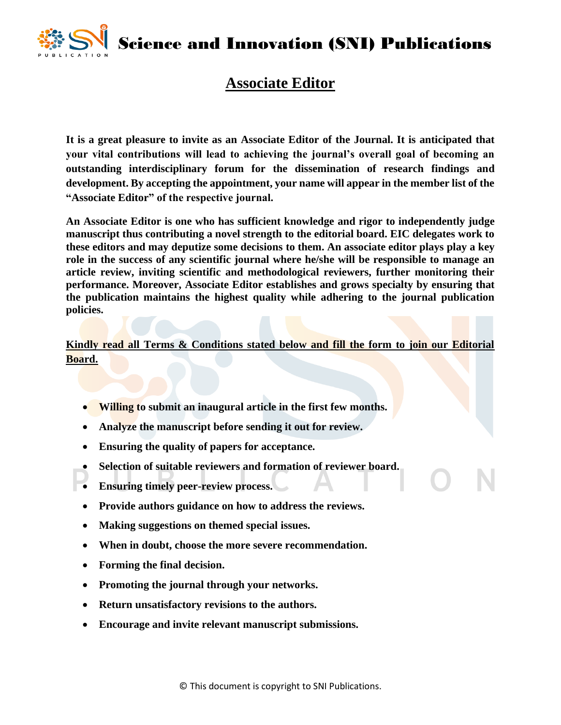

Science and Innovation (SNI) Publications

## **Associate Editor**

**It is a great pleasure to invite as an Associate Editor of the Journal. It is anticipated that your vital contributions will lead to achieving the journal's overall goal of becoming an outstanding interdisciplinary forum for the dissemination of research findings and development. By accepting the appointment, your name will appear in the member list of the "Associate Editor" of the respective journal.** 

**An Associate Editor is one who has sufficient knowledge and rigor to independently judge manuscript thus contributing a novel strength to the editorial board. EIC delegates work to these editors and may deputize some decisions to them. An associate editor plays play a key role in the success of any scientific journal where he/she will be responsible to manage an article review, inviting scientific and methodological reviewers, further monitoring their performance. Moreover, Associate Editor establishes and grows specialty by ensuring that the publication maintains the highest quality while adhering to the journal publication policies.**

**Kindly read all Terms & Conditions stated below and fill the form to join our Editorial Board.**

- **Willing to submit an inaugural article in the first few months.**
- **Analyze the manuscript before sending it out for review.**
- **Ensuring the quality of papers for acceptance.**
- **Selection of suitable reviewers and formation of reviewer board.**
- **Ensuring timely peer-review process.**
- **Provide authors guidance on how to address the reviews.**
- **Making suggestions on themed special issues.**
- **When in doubt, choose the more severe recommendation.**
- **Forming the final decision.**
- **Promoting the journal through your networks.**
- **Return unsatisfactory revisions to the authors.**
- **Encourage and invite relevant manuscript submissions.**